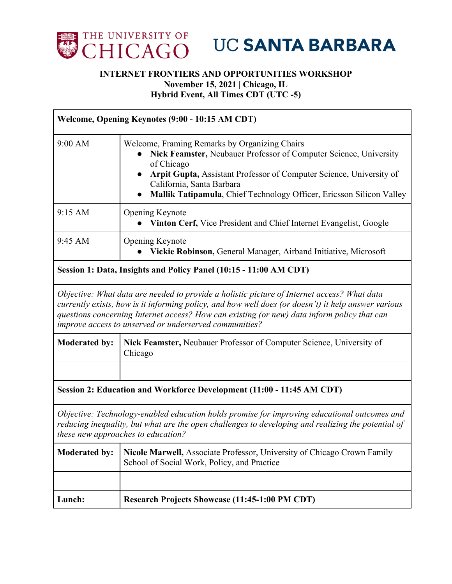

**UC SANTA BARBARA** 

## **INTERNET FRONTIERS AND OPPORTUNITIES WORKSHOP November 15, 2021 | Chicago, IL**

**Hybrid Event, All Times CDT (UTC -5)** 

| Welcome, Opening Keynotes (9:00 - 10:15 AM CDT)                                                                                                                                                                                                                                                                                                             |                                                                                                                                                                                                                                                                                                              |
|-------------------------------------------------------------------------------------------------------------------------------------------------------------------------------------------------------------------------------------------------------------------------------------------------------------------------------------------------------------|--------------------------------------------------------------------------------------------------------------------------------------------------------------------------------------------------------------------------------------------------------------------------------------------------------------|
| 9:00 AM                                                                                                                                                                                                                                                                                                                                                     | Welcome, Framing Remarks by Organizing Chairs<br>Nick Feamster, Neubauer Professor of Computer Science, University<br>of Chicago<br>Arpit Gupta, Assistant Professor of Computer Science, University of<br>California, Santa Barbara<br>Mallik Tatipamula, Chief Technology Officer, Ericsson Silicon Valley |
| 9:15 AM                                                                                                                                                                                                                                                                                                                                                     | Opening Keynote<br>Vinton Cerf, Vice President and Chief Internet Evangelist, Google                                                                                                                                                                                                                         |
| 9:45 AM                                                                                                                                                                                                                                                                                                                                                     | Opening Keynote<br>Vickie Robinson, General Manager, Airband Initiative, Microsoft                                                                                                                                                                                                                           |
| Session 1: Data, Insights and Policy Panel (10:15 - 11:00 AM CDT)                                                                                                                                                                                                                                                                                           |                                                                                                                                                                                                                                                                                                              |
| Objective: What data are needed to provide a holistic picture of Internet access? What data<br>currently exists, how is it informing policy, and how well does (or doesn't) it help answer various<br>questions concerning Internet access? How can existing (or new) data inform policy that can<br>improve access to unserved or underserved communities? |                                                                                                                                                                                                                                                                                                              |
| <b>Moderated by:</b>                                                                                                                                                                                                                                                                                                                                        | Nick Feamster, Neubauer Professor of Computer Science, University of<br>Chicago                                                                                                                                                                                                                              |
|                                                                                                                                                                                                                                                                                                                                                             |                                                                                                                                                                                                                                                                                                              |
| Session 2: Education and Workforce Development (11:00 - 11:45 AM CDT)                                                                                                                                                                                                                                                                                       |                                                                                                                                                                                                                                                                                                              |
| Objective: Technology-enabled education holds promise for improving educational outcomes and<br>reducing inequality, but what are the open challenges to developing and realizing the potential of<br>these new approaches to education?                                                                                                                    |                                                                                                                                                                                                                                                                                                              |
| <b>Moderated by:</b>                                                                                                                                                                                                                                                                                                                                        | Nicole Marwell, Associate Professor, University of Chicago Crown Family<br>School of Social Work, Policy, and Practice                                                                                                                                                                                       |
|                                                                                                                                                                                                                                                                                                                                                             |                                                                                                                                                                                                                                                                                                              |
| Lunch:                                                                                                                                                                                                                                                                                                                                                      | <b>Research Projects Showcase (11:45-1:00 PM CDT)</b>                                                                                                                                                                                                                                                        |